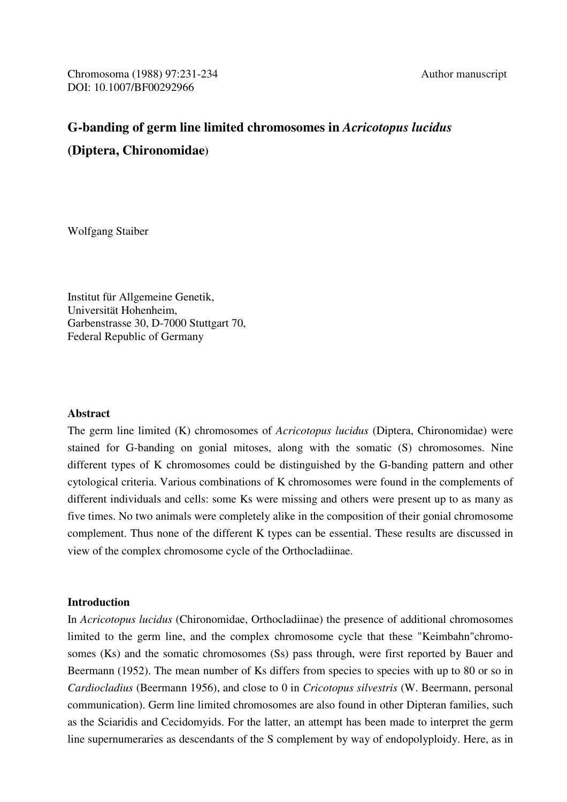Chromosoma (1988) 97:231-234 Author manuscript DOI: 10.1007/BF00292966

# **G-banding of germ line limited chromosomes in** *Acricotopus lucidus*  **(Diptera, Chironomidae)**

Wolfgang Staiber

Institut für Allgemeine Genetik, Universität Hohenheim, Garbenstrasse 30, D-7000 Stuttgart 70, Federal Republic of Germany

# **Abstract**

The germ line limited (K) chromosomes of *Acricotopus lucidus* (Diptera, Chironomidae) were stained for G-banding on gonial mitoses, along with the somatic (S) chromosomes. Nine different types of K chromosomes could be distinguished by the G-banding pattern and other cytological criteria. Various combinations of K chromosomes were found in the complements of different individuals and cells: some Ks were missing and others were present up to as many as five times. No two animals were completely alike in the composition of their gonial chromosome complement. Thus none of the different K types can be essential. These results are discussed in view of the complex chromosome cycle of the Orthocladiinae.

## **Introduction**

In *Acricotopus lucidus* (Chironomidae, Orthocladiinae) the presence of additional chromosomes limited to the germ line, and the complex chromosome cycle that these "Keimbahn"chromosomes (Ks) and the somatic chromosomes (Ss) pass through, were first reported by Bauer and Beermann (1952). The mean number of Ks differs from species to species with up to 80 or so in *Cardiocladius* (Beermann 1956), and close to 0 in *Cricotopus silvestris* (W. Beermann, personal communication). Germ line limited chromosomes are also found in other Dipteran families, such as the Sciaridis and Cecidomyids. For the latter, an attempt has been made to interpret the germ line supernumeraries as descendants of the S complement by way of endopolyploidy. Here, as in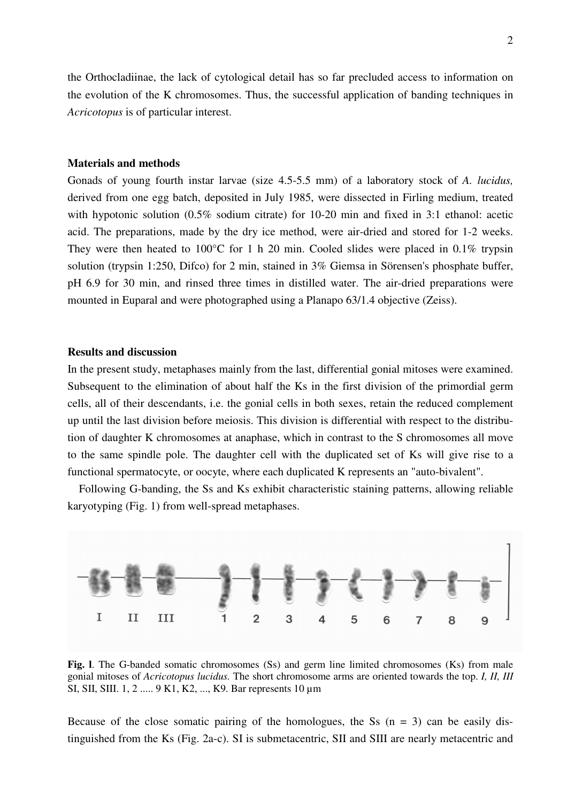the Orthocladiinae, the lack of cytological detail has so far precluded access to information on the evolution of the K chromosomes. Thus, the successful application of banding techniques in *Acricotopus* is of particular interest.

#### **Materials and methods**

Gonads of young fourth instar larvae (size 4.5-5.5 mm) of a laboratory stock of *A. lucidus,*  derived from one egg batch, deposited in July 1985, were dissected in Firling medium, treated with hypotonic solution (0.5% sodium citrate) for 10-20 min and fixed in 3:1 ethanol: acetic acid. The preparations, made by the dry ice method, were air-dried and stored for 1-2 weeks. They were then heated to 100°C for 1 h 20 min. Cooled slides were placed in 0.1% trypsin solution (trypsin 1:250, Difco) for 2 min, stained in 3% Giemsa in Sörensen's phosphate buffer, pH 6.9 for 30 min, and rinsed three times in distilled water. The air-dried preparations were mounted in Euparal and were photographed using a Planapo 63/1.4 objective (Zeiss).

# **Results and discussion**

In the present study, metaphases mainly from the last, differential gonial mitoses were examined. Subsequent to the elimination of about half the Ks in the first division of the primordial germ cells, all of their descendants, i.e. the gonial cells in both sexes, retain the reduced complement up until the last division before meiosis. This division is differential with respect to the distribution of daughter K chromosomes at anaphase, which in contrast to the S chromosomes all move to the same spindle pole. The daughter cell with the duplicated set of Ks will give rise to a functional spermatocyte, or oocyte, where each duplicated K represents an "auto-bivalent".

 Following G-banding, the Ss and Ks exhibit characteristic staining patterns, allowing reliable karyotyping (Fig. 1) from well-spread metaphases.



Fig. 1. The G-banded somatic chromosomes (Ss) and germ line limited chromosomes (Ks) from male gonial mitoses of *Acricotopus lucidus.* The short chromosome arms are oriented towards the top. *I, II, III*  SI, SII, SIII. 1, 2 ..... 9 K1, K2, ..., K9. Bar represents 10 µm

Because of the close somatic pairing of the homologues, the Ss  $(n = 3)$  can be easily distinguished from the Ks (Fig. 2a-c). SI is submetacentric, SII and SIII are nearly metacentric and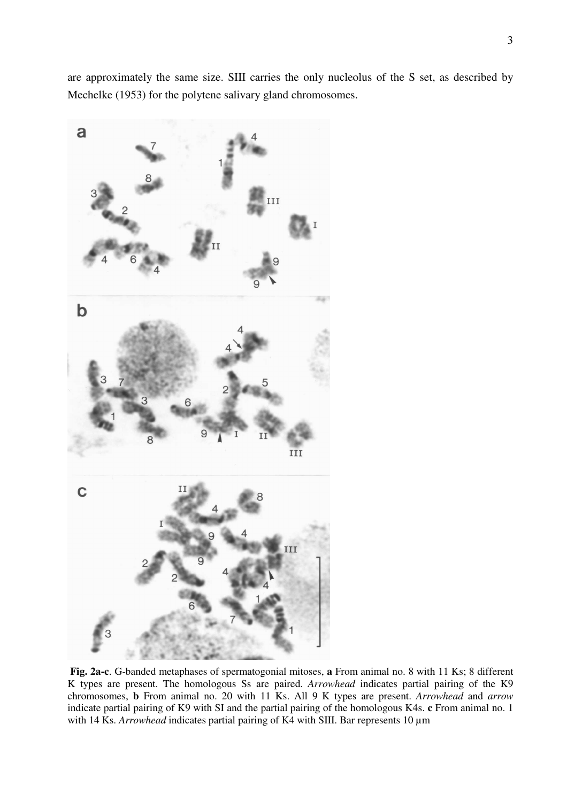are approximately the same size. SIII carries the only nucleolus of the S set, as described by Mechelke (1953) for the polytene salivary gland chromosomes.



 **Fig. 2a-c**. G-banded metaphases of spermatogonial mitoses, **a** From animal no. 8 with 11 Ks; 8 different K types are present. The homologous Ss are paired. *Arrowhead* indicates partial pairing of the K9 chromosomes, **b** From animal no. 20 with 11 Ks. All 9 K types are present. *Arrowhead* and *arrow*  indicate partial pairing of K9 with SI and the partial pairing of the homologous K4s. **c** From animal no. 1 with 14 Ks. *Arrowhead* indicates partial pairing of K4 with SIII. Bar represents 10  $\mu$ m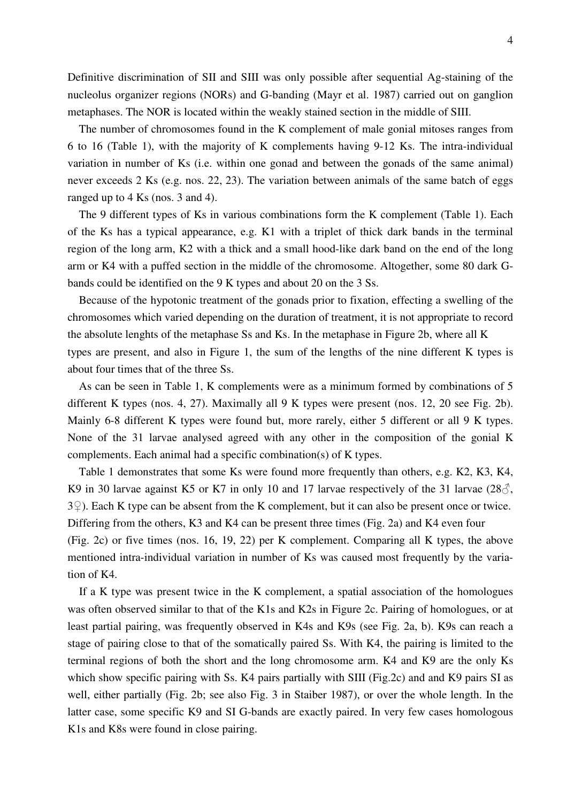Definitive discrimination of SII and SIII was only possible after sequential Ag-staining of the nucleolus organizer regions (NORs) and G-banding (Mayr et al. 1987) carried out on ganglion metaphases. The NOR is located within the weakly stained section in the middle of SIII.

 The number of chromosomes found in the K complement of male gonial mitoses ranges from 6 to 16 (Table 1), with the majority of K complements having 9-12 Ks. The intra-individual variation in number of Ks (i.e. within one gonad and between the gonads of the same animal) never exceeds 2 Ks (e.g. nos. 22, 23). The variation between animals of the same batch of eggs ranged up to 4 Ks (nos. 3 and 4).

 The 9 different types of Ks in various combinations form the K complement (Table 1). Each of the Ks has a typical appearance, e.g. K1 with a triplet of thick dark bands in the terminal region of the long arm, K2 with a thick and a small hood-like dark band on the end of the long arm or K4 with a puffed section in the middle of the chromosome. Altogether, some 80 dark Gbands could be identified on the 9 K types and about 20 on the 3 Ss.

 Because of the hypotonic treatment of the gonads prior to fixation, effecting a swelling of the chromosomes which varied depending on the duration of treatment, it is not appropriate to record the absolute lenghts of the metaphase Ss and Ks. In the metaphase in Figure 2b, where all K types are present, and also in Figure 1, the sum of the lengths of the nine different K types is about four times that of the three Ss.

 As can be seen in Table 1, K complements were as a minimum formed by combinations of 5 different K types (nos. 4, 27). Maximally all 9 K types were present (nos. 12, 20 see Fig. 2b). Mainly 6-8 different K types were found but, more rarely, either 5 different or all 9 K types. None of the 31 larvae analysed agreed with any other in the composition of the gonial K complements. Each animal had a specific combination(s) of K types.

 Table 1 demonstrates that some Ks were found more frequently than others, e.g. K2, K3, K4, K9 in 30 larvae against K5 or K7 in only 10 and 17 larvae respectively of the 31 larvae  $(28\text{C})$ , 3♀). Each K type can be absent from the K complement, but it can also be present once or twice. Differing from the others, K3 and K4 can be present three times (Fig. 2a) and K4 even four (Fig. 2c) or five times (nos. 16, 19, 22) per K complement. Comparing all K types, the above mentioned intra-individual variation in number of Ks was caused most frequently by the variation of K4.

 If a K type was present twice in the K complement, a spatial association of the homologues was often observed similar to that of the K1s and K2s in Figure 2c. Pairing of homologues, or at least partial pairing, was frequently observed in K4s and K9s (see Fig. 2a, b). K9s can reach a stage of pairing close to that of the somatically paired Ss. With K4, the pairing is limited to the terminal regions of both the short and the long chromosome arm. K4 and K9 are the only Ks which show specific pairing with Ss. K4 pairs partially with SIII (Fig.2c) and and K9 pairs SI as well, either partially (Fig. 2b; see also Fig. 3 in Staiber 1987), or over the whole length. In the latter case, some specific K9 and SI G-bands are exactly paired. In very few cases homologous K1s and K8s were found in close pairing.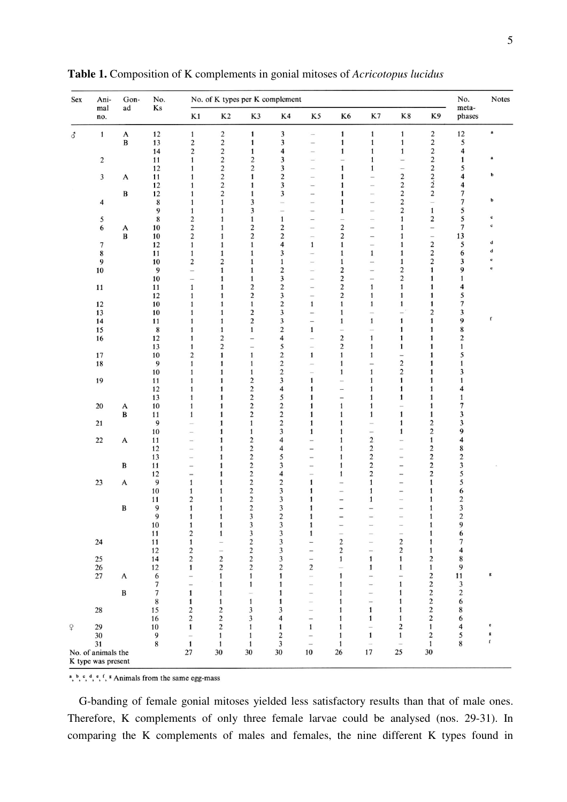| Sex            | Ani-<br>mal<br>no. | Gon-<br>ad        | No.<br>Ks | No. of K types per K complement |                              |                                           |                            |                              |                              |                          |                                         |                              | No.<br>meta-            | Notes            |
|----------------|--------------------|-------------------|-----------|---------------------------------|------------------------------|-------------------------------------------|----------------------------|------------------------------|------------------------------|--------------------------|-----------------------------------------|------------------------------|-------------------------|------------------|
|                |                    |                   |           | $\mathbf{K}1$                   | K <sub>2</sub>               | K3                                        | K4                         | K5                           | K6                           | K7                       | K8                                      | K9                           | phases                  |                  |
| $\vec{\delta}$ | $\mathbf{1}$       | $\mathbf{A}$      | 12        | $\mathbf{1}$                    | $\overline{c}$               | $\mathbf{1}$                              | 3                          | $\overline{\phantom{0}}$     | $\mathbf{1}$                 | $\mathbf{1}$             | $\mathbf{1}$                            | $\sqrt{2}$                   | 12                      | $\bf a$          |
|                |                    | B                 | 13        | $\boldsymbol{2}$                | $\boldsymbol{2}$             | $\mathbf{1}$                              | 3                          | $\overline{a}$               | $\mathbf{1}$                 | $\mathbf{1}$             | 1                                       | $\sqrt{2}$                   | 5                       |                  |
|                |                    |                   | 14        | 2                               | $\boldsymbol{2}$             | $\mathbf{1}$                              | 4                          |                              | $\mathbf{1}$                 | $\mathbf{1}$             | 1                                       | $\mathbf 2$                  | 4                       |                  |
|                | $\boldsymbol{2}$   |                   | 11        | $\mathbf{1}$                    | $\boldsymbol{2}$             | $\overline{\mathbf{c}}$                   | 3                          |                              |                              | $\mathbf{1}$             |                                         | $\mathbf{2}$                 | 1                       | a                |
|                |                    |                   | 12        | 1                               | $\boldsymbol{2}$             | $\overline{\mathbf{c}}$                   | 3                          |                              | 1                            | $\mathbf{1}$             |                                         | $\overline{\mathbf{c}}$      | 5                       | ь                |
|                | $\mathbf{3}$       | A                 | 11<br>12  | 1                               | $\mathbf{2}$<br>$\mathbf 2$  | $\mathbf{1}$<br>$\mathbf{1}$              | 2<br>3                     | $\overline{\phantom{0}}$     | $\mathbf{1}$<br>1            | Ξ.<br>in 1               | $\overline{\mathbf{c}}$<br>$\mathbf{2}$ | $\frac{2}{2}$                | 4<br>4                  |                  |
|                |                    | B                 | 12        | 1<br>1                          | $\overline{c}$               | 1                                         | 3                          | -<br>-                       |                              | -                        | $\overline{c}$                          | $\overline{c}$               | 7                       |                  |
|                | $\overline{4}$     |                   | $\bf 8$   | 1                               | $\mathbf{1}$                 | 3                                         |                            | $\overline{\phantom{0}}$     | 1                            | $\overline{\phantom{0}}$ | $\overline{\mathbf{c}}$                 | Ľ.                           | 7                       | b                |
|                |                    |                   | 9         | 1                               | 1                            | 3                                         |                            | $\overline{\phantom{0}}$     | 1                            | $\overline{\phantom{0}}$ | 2                                       | $\mathbf{1}$                 | 5                       |                  |
|                | 5                  |                   | $\bf 8$   | $\overline{\mathbf{c}}$         | 1                            | $\mathbf{1}$                              | $\mathbf{1}$               | $-$                          | L.                           | -                        | 1                                       | $\mathbf 2$                  | 5                       | ¢                |
|                | $\sqrt{6}$         | A                 | 10        | $\overline{\mathbf{c}}$         | 1                            | $\overline{c}$                            | $\overline{\mathbf{c}}$    | ÷                            | $\overline{\mathbf{c}}$      | -                        | 1                                       | ÷                            | 7                       | $\mathbf c$      |
|                |                    | $\, {\bf B}$      | 10        | 2                               | 1                            | $\overline{\mathbf{c}}$                   | $\overline{\mathbf{c}}$    | $\overline{\phantom{a}}$     | $\overline{\mathbf{c}}$      | -                        | 1                                       | $\overline{\phantom{0}}$     | 13                      |                  |
|                | $\boldsymbol{7}$   |                   | 12        | $\mathbf{1}$                    | 1                            | $\mathbf{1}$                              | $\overline{\mathbf{4}}$    | $\mathbf{1}$                 | 1                            | $\qquad \qquad -$        | 1                                       | $\sqrt{2}$                   | 5                       | d                |
|                | $\bf 8$            |                   | 11        | 1                               | 1                            | $\mathbf{1}$                              | 3                          | i.                           | $\mathbf{1}$                 | $\mathbf{1}$             | 1                                       | $\sqrt{2}$                   | 6                       | d                |
|                | 9                  |                   | 10        | $\overline{\mathbf{c}}$         | $\overline{\mathbf{c}}$      | $\mathbf{1}$                              | $\mathbf{1}$               | $\overline{\phantom{0}}$     | $\mathbf{1}$                 | $\overline{\phantom{0}}$ | 1                                       | $\overline{c}$               | 3                       | $\mathbf c$      |
|                | $10\,$             |                   | 9         | L.                              | $\mathbf{1}$                 | $\mathbf{1}$                              | $\overline{\mathbf{c}}$    | $\overline{\phantom{0}}$     | 2                            | -                        | $\overline{\mathbf{c}}$                 | $\mathbf{1}$                 | 9                       | e                |
|                |                    |                   | 10        | $\overline{\phantom{0}}$        | 1                            | $\mathbf{1}$                              | 3                          | $\overline{\phantom{a}}$     | $\boldsymbol{2}$             | $\overline{\phantom{m}}$ | $\overline{c}$                          | 1                            | 1                       |                  |
|                | 11                 |                   | 11        | $\mathbf{1}$                    | 1                            | $\overline{c}$                            | $\overline{\mathbf{c}}$    |                              | $\boldsymbol{2}$             | $\mathbf{1}$             | $\mathbf{1}$                            | $\mathbf{1}$                 | 4                       |                  |
|                |                    |                   | 12        | 1                               | 1                            | 2                                         | 3                          | $\overline{\phantom{0}}$     | $\overline{c}$               | $\mathbf{1}$             | 1                                       | 1                            | 5                       |                  |
|                | 12                 |                   | 10        | $\mathbf{1}$                    | $\mathbf{1}$                 | $\mathbf{1}$                              | $\overline{\mathbf{c}}$    | $\mathbf{1}$                 | $\mathbf{1}$                 | $\mathbf{1}$             | $\mathbf{1}$                            | $\mathbf{1}$                 | 7                       |                  |
|                | 13                 |                   | 10        | 1                               | $\mathbf{1}$                 | 2                                         | 3                          | -                            | $\mathbf{1}$                 | $\overline{\phantom{a}}$ |                                         | 2                            | 3                       |                  |
|                | 14                 |                   | 11        | 1                               | $\mathbf{1}$                 | $\mathbf 2$                               | 3                          | $\overline{\phantom{0}}$     | $\mathbf{1}$                 | $\mathbf 1$              | $\mathbf{1}$                            | $\mathbf{1}$                 | 9                       | f                |
|                | 15                 |                   | 8         |                                 | $\mathbf{1}$                 | $\mathbf{1}$                              | $\overline{\mathbf{c}}$    | $\mathbf{1}$                 | $\frac{1}{2}$                |                          | $\mathbf{1}$                            | $\mathbf{1}$                 | 8                       |                  |
|                | 16                 |                   | 12        | 1                               | 2                            | $\overline{\phantom{0}}$                  | 4                          | $\overline{\phantom{0}}$     | $\boldsymbol{2}$             | $\mathbf{1}$             | $\mathbf{1}$                            | $\mathbf{1}$                 | 2                       |                  |
|                |                    |                   | 13        | 1                               | $\boldsymbol{2}$             | $\qquad \qquad -$                         | 5                          | $\overline{\phantom{0}}$     | $\overline{c}$               | $\mathbf{1}$             | $\mathbf{1}$                            | $\mathbf{1}$                 | 1                       |                  |
|                | $17\,$             |                   | 10        | 2                               | $\mathbf{1}$                 | $\mathbf{1}$                              | $\boldsymbol{2}$           | $\mathbf{1}$                 | $\mathbf{1}$                 | 1                        | $\qquad \qquad -$                       | $\mathbf{1}$                 | 5                       |                  |
|                | 18                 |                   | 9         | $\mathbf{1}$                    | $\mathbf{1}$                 | $\mathbf{1}$                              | $\,2$                      | $\overline{\phantom{0}}$     | $\mathbf{1}$                 | $\overline{\phantom{0}}$ | $\overline{\mathbf{c}}$                 | 1                            |                         |                  |
|                |                    |                   | 10        | $\mathbf{1}$                    | $\mathbf{1}$                 | $\mathbf{1}$                              | $\sqrt{2}$                 | $\overline{\phantom{a}}$     | $\mathbf{1}$                 | $\mathbf{1}$             | $\boldsymbol{2}$                        | $\mathbf{1}$                 | 3                       |                  |
|                | 19                 |                   | 11        | 1                               | $\mathbf{1}$                 | 2                                         | 3                          | $\mathbf{1}$                 | $\overline{\phantom{a}}$     | 1                        | $\mathbf{1}$                            | 1                            |                         |                  |
|                |                    |                   | 12        | 1                               | $\mathbf{1}$                 | $\overline{c}$                            | 4                          | $\mathbf{1}$                 | $\overline{\phantom{0}}$     | 1                        | $\mathbf{1}$                            | $\mathbf{1}$                 | 4                       |                  |
|                |                    |                   | 13        |                                 | 1                            | $\overline{\mathbf{c}}$                   | 5                          | 1                            | -                            | 1                        | $\mathbf{1}$                            | $\mathbf{1}$                 | 1<br>7                  |                  |
|                | 20                 | A<br>$\, {\bf B}$ | 10<br>11  | 1                               | $\mathbf{1}$<br>$\mathbf{1}$ | $\overline{\mathbf{c}}$<br>$\overline{2}$ | $\mathbf 2$<br>$\mathbf 2$ | $\mathbf{1}$<br>$\mathbf{1}$ | $\mathbf{1}$<br>$\mathbf{1}$ | 1<br>$\mathbf{1}$        | $\mathbf{1}$                            | $\mathbf{1}$<br>$\mathbf{1}$ | 3                       |                  |
|                | $21$               |                   | 9         | $\mathbf{1}$                    | $\mathbf{1}$                 | $\mathbf{1}$                              | $\boldsymbol{2}$           | $\mathbf{1}$                 | $\mathbf{1}$                 | $\overline{\phantom{a}}$ | $\mathbf{1}$                            | 2                            | 3                       |                  |
|                |                    |                   | 10        |                                 | $\mathbf{1}$                 | $\mathbf{1}$                              | 3                          | $\mathbf{1}$                 | $\mathbf{1}$                 | $\overline{\phantom{0}}$ | $\mathbf{1}$                            | $\overline{c}$               | 9                       |                  |
|                | $22\,$             | A                 | 11        |                                 | $\mathbf{1}$                 | $\overline{c}$                            | 4                          | $\overline{\phantom{a}}$     | $\mathbf{1}$                 | $\mathbf 2$              |                                         | $\mathbf{1}$                 | 4                       |                  |
|                |                    |                   | 12        |                                 | $\mathbf{1}$                 | $\overline{c}$                            | $\overline{\mathbf{4}}$    | $\overline{\phantom{0}}$     | $\mathbf{1}$                 | $\overline{c}$           |                                         | $\overline{c}$               | 8                       |                  |
|                |                    |                   | 13        |                                 | $\mathbf{1}$                 | $\overline{c}$                            | 5                          |                              | $\mathbf{1}$                 | $\overline{c}$           |                                         | $\overline{\mathbf{c}}$      | $\overline{\mathbf{c}}$ |                  |
|                |                    | B                 | 11        |                                 | $\mathbf{1}$                 | $\overline{2}$                            | 3                          | $\overline{\phantom{a}}$     | $\mathbf{1}$                 | 2                        |                                         | 2                            | 3                       |                  |
|                |                    |                   | 12        |                                 | $\mathbf{1}$                 | $\overline{c}$                            | 4                          | $\geq$                       | $\mathbf{1}$                 | $\overline{2}$           | ⋍                                       | $\overline{c}$               | 5                       |                  |
|                | 23                 | A                 | 9         | $\mathbf{1}$                    | $\mathbf{1}$                 | 2                                         | $\overline{\mathbf{c}}$    | $\mathbf{1}$                 | $\equiv$                     | 1                        | $\overline{\phantom{a}}$                | $\mathbf{1}$                 | 5                       |                  |
|                |                    |                   | $10\,$    | $\mathbf{1}$                    | $\mathbf{1}$                 | 2                                         | 3                          | 1                            |                              | $\mathbf{1}$             | -                                       | $\mathbf{1}$                 | 6                       |                  |
|                |                    |                   | 11        | 2                               | $\mathbf{1}$                 | $\overline{\mathbf{c}}$                   | $\overline{\mathbf{3}}$    | $\mathbf{1}$                 | -                            | $\mathbf{1}$             | ÷                                       | $\mathbf{1}$                 | 2                       |                  |
|                |                    | B                 | 9         | $\mathbf{1}$                    | $\mathbf{1}$                 | 2                                         | 3                          | $\mathbf{1}$                 | $\overline{\phantom{a}}$     |                          | $\sim$                                  | $\mathbf{1}$                 | 3                       |                  |
|                |                    |                   | 9         | 1                               | 1                            | 3                                         | 2                          | 1                            |                              |                          |                                         | 1                            | 2                       |                  |
|                |                    |                   | $10\,$    | $\mathbf{1}$                    | $\mathbf{1}$                 | 3                                         | 3                          | $\mathbf{1}$                 |                              | $=$                      | $\frac{1}{2}$                           | $\mathbf{1}$                 | 9                       |                  |
|                |                    |                   | 11        | $\overline{c}$                  | $\mathbf{1}$                 | 3                                         | 3                          | $\mathbf{1}$                 | $\overline{\phantom{0}}$     |                          | $\overline{\phantom{0}}$                | $\mathbf{1}$                 | 6                       |                  |
|                | 24                 |                   | 11        | $\mathbf{1}$                    | $\equiv$                     | $\overline{2}$                            | 3                          | $\overline{\phantom{a}}$     | $\overline{c}$               | $\frac{1}{2}$            | $\overline{c}$                          | $\mathbf{1}$                 | $\overline{7}$          |                  |
|                |                    |                   | 12        | 2                               | i.                           | 2                                         | 3                          | $\overline{\phantom{a}}$     | $\overline{c}$               | m.                       | $\overline{c}$                          | $\mathbf{1}$                 | 4                       |                  |
|                | 25                 |                   | 14        | $\overline{c}$                  | $\overline{c}$               | $\overline{c}$                            | 3                          | $\frac{1}{2}$                | 1                            | $\mathbf{1}$             | $\mathbf{1}$                            | $\overline{c}$               | 8                       |                  |
|                | $26$               |                   | 12        | $\mathbf{1}$                    | $\mathbf 2$                  | $\mathbf 2$                               | $\overline{c}$             | $\sqrt{2}$                   | $\rightarrow$                | $\mathbf{1}$             | $\mathbf{1}$                            | $\mathbf{1}$                 | 9                       |                  |
|                | 27                 | A                 | 6         |                                 | $\mathbf{1}$                 | $\mathbf{1}$                              | $\mathbf{1}$               | $\sim$                       | $\mathbf{1}$                 | 1                        | $\overline{\phantom{0}}$                | $\overline{c}$               | 11                      | g                |
|                |                    |                   | 7         | -                               | $\mathbf{1}$                 | 1                                         | $\mathbf{1}$               | $\sim$                       | $\mathbf{1}$                 | -                        | $\mathbf{1}$                            | $\mathbf{2}$                 | 3                       |                  |
|                |                    | $\, {\bf B}$      | 7         | 1                               | 1                            | $\sim$                                    | 1                          | $\frac{1}{2}$                | 1                            | $\overline{\phantom{0}}$ | 1                                       | $\overline{\mathbf{c}}$      | $\boldsymbol{2}$        |                  |
|                |                    |                   | 8         | $\mathbf{1}$                    | $\mathbf{1}$                 | $\mathbf{1}$                              | $\mathbf{1}$               | -                            | 1                            | 1                        | $\mathbf{1}$                            | $\overline{c}$               | 6                       |                  |
|                | 28                 |                   | 15        | 2                               | $\overline{c}$               | 3                                         | 3                          | $\sim$                       | 1                            | $\mathbf{1}$             | $\mathbf{1}$                            | $\overline{\mathbf{c}}$      | 8                       |                  |
|                |                    |                   | 16        | $\overline{c}$                  | $\mathbf 2$                  | 3                                         | 4                          | $\overline{\phantom{0}}$     | 1                            | $\mathbf{1}$             | $\mathbf{1}$                            | $\overline{c}$               | 6                       |                  |
| $\mathsf{P}$   | 29                 |                   | 10        | $\mathbf{1}$                    | $\overline{2}$               | $\mathbf{1}$                              | $\mathbf{1}$               | $\mathbf{1}$                 | 1                            | $\frac{1}{2}$            | $\overline{c}$                          | $\mathbf{1}$                 | 4                       | $\mathbf{c}$     |
|                | 30                 |                   | 9         |                                 | $\mathbf{1}$                 | $\mathbf{1}$                              | $\overline{2}$             | Ĩ,                           | 1                            | $\mathbf{1}$             | $\mathbf{1}$                            | $\overline{2}$               | 5                       | g<br>$\mathbf f$ |
|                | 31                 |                   | 8         | $\mathbf{1}$                    | 1                            | $\mathbf{1}$                              | 3                          | $\overline{\phantom{a}}$     | $\mathbf{1}$                 | $\overline{\phantom{a}}$ | $\overline{\phantom{a}}$                | $\mathbf{1}$                 | 8                       |                  |
|                | No. of animals the |                   |           | 27                              | 30                           | 30                                        | 30                         | 10                           | 26                           | $17\,$                   | 25                                      | 30                           |                         |                  |
|                | K type was present |                   |           |                                 |                              |                                           |                            |                              |                              |                          |                                         |                              |                         |                  |

**Table 1.** Composition of K complements in gonial mitoses of *Acricotopus lucidus* 

a, b, c, d, e, f, & Animals from the same egg-mass

 G-banding of female gonial mitoses yielded less satisfactory results than that of male ones. Therefore, K complements of only three female larvae could be analysed (nos. 29-31). In comparing the K complements of males and females, the nine different K types found in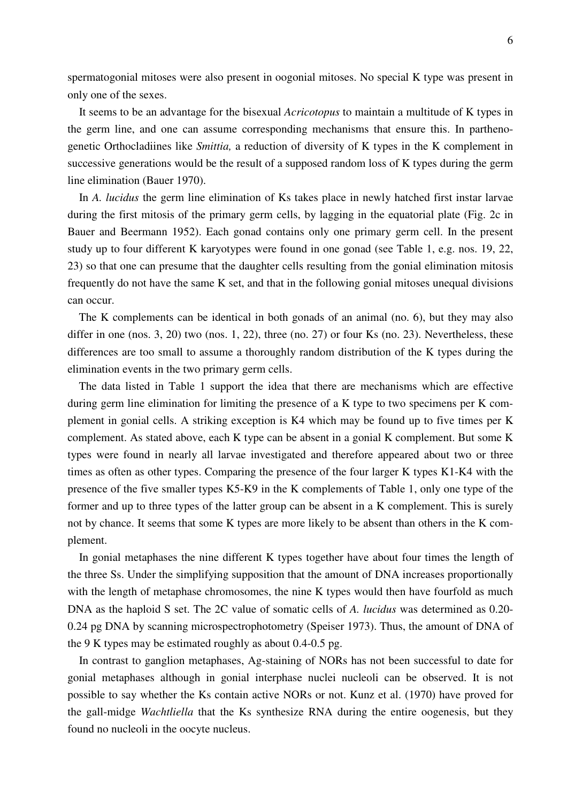spermatogonial mitoses were also present in oogonial mitoses. No special K type was present in only one of the sexes.

 It seems to be an advantage for the bisexual *Acricotopus* to maintain a multitude of K types in the germ line, and one can assume corresponding mechanisms that ensure this. In parthenogenetic Orthocladiines like *Smittia,* a reduction of diversity of K types in the K complement in successive generations would be the result of a supposed random loss of K types during the germ line elimination (Bauer 1970).

 In *A. lucidus* the germ line elimination of Ks takes place in newly hatched first instar larvae during the first mitosis of the primary germ cells, by lagging in the equatorial plate (Fig. 2c in Bauer and Beermann 1952). Each gonad contains only one primary germ cell. In the present study up to four different K karyotypes were found in one gonad (see Table 1, e.g. nos. 19, 22, 23) so that one can presume that the daughter cells resulting from the gonial elimination mitosis frequently do not have the same K set, and that in the following gonial mitoses unequal divisions can occur.

 The K complements can be identical in both gonads of an animal (no. 6), but they may also differ in one (nos. 3, 20) two (nos. 1, 22), three (no. 27) or four Ks (no. 23). Nevertheless, these differences are too small to assume a thoroughly random distribution of the K types during the elimination events in the two primary germ cells.

 The data listed in Table 1 support the idea that there are mechanisms which are effective during germ line elimination for limiting the presence of a K type to two specimens per K complement in gonial cells. A striking exception is K4 which may be found up to five times per K complement. As stated above, each K type can be absent in a gonial K complement. But some K types were found in nearly all larvae investigated and therefore appeared about two or three times as often as other types. Comparing the presence of the four larger K types K1-K4 with the presence of the five smaller types K5-K9 in the K complements of Table 1, only one type of the former and up to three types of the latter group can be absent in a K complement. This is surely not by chance. It seems that some K types are more likely to be absent than others in the K complement.

 In gonial metaphases the nine different K types together have about four times the length of the three Ss. Under the simplifying supposition that the amount of DNA increases proportionally with the length of metaphase chromosomes, the nine K types would then have fourfold as much DNA as the haploid S set. The 2C value of somatic cells of *A. lucidus* was determined as 0.20- 0.24 pg DNA by scanning microspectrophotometry (Speiser 1973). Thus, the amount of DNA of the 9 K types may be estimated roughly as about 0.4-0.5 pg.

 In contrast to ganglion metaphases, Ag-staining of NORs has not been successful to date for gonial metaphases although in gonial interphase nuclei nucleoli can be observed. It is not possible to say whether the Ks contain active NORs or not. Kunz et al. (1970) have proved for the gall-midge *Wachtliella* that the Ks synthesize RNA during the entire oogenesis, but they found no nucleoli in the oocyte nucleus.